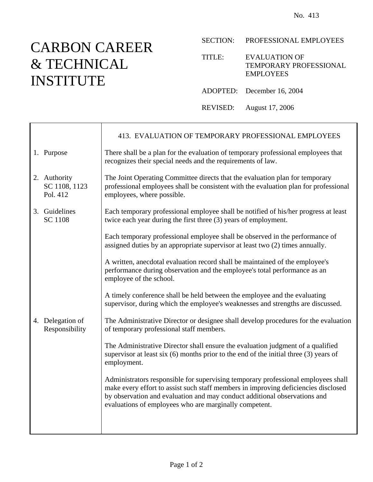## CARBON CAREER & TECHNICAL INSTITUTE

┱

 $\mathsf{r}$ 

SECTION: PROFESSIONAL EMPLOYEES

TITLE: EVALUATION OF TEMPORARY PROFESSIONAL EMPLOYEES

ADOPTED: December 16, 2004

REVISED: August 17, 2006

|                                           | 413. EVALUATION OF TEMPORARY PROFESSIONAL EMPLOYEES                                                                                                                                                                                                                                                            |
|-------------------------------------------|----------------------------------------------------------------------------------------------------------------------------------------------------------------------------------------------------------------------------------------------------------------------------------------------------------------|
| 1. Purpose                                | There shall be a plan for the evaluation of temporary professional employees that<br>recognizes their special needs and the requirements of law.                                                                                                                                                               |
| 2. Authority<br>SC 1108, 1123<br>Pol. 412 | The Joint Operating Committee directs that the evaluation plan for temporary<br>professional employees shall be consistent with the evaluation plan for professional<br>employees, where possible.                                                                                                             |
| 3. Guidelines<br><b>SC 1108</b>           | Each temporary professional employee shall be notified of his/her progress at least<br>twice each year during the first three (3) years of employment.                                                                                                                                                         |
|                                           | Each temporary professional employee shall be observed in the performance of<br>assigned duties by an appropriate supervisor at least two (2) times annually.                                                                                                                                                  |
|                                           | A written, anecdotal evaluation record shall be maintained of the employee's<br>performance during observation and the employee's total performance as an<br>employee of the school.                                                                                                                           |
|                                           | A timely conference shall be held between the employee and the evaluating<br>supervisor, during which the employee's weaknesses and strengths are discussed.                                                                                                                                                   |
| 4. Delegation of<br>Responsibility        | The Administrative Director or designee shall develop procedures for the evaluation<br>of temporary professional staff members.                                                                                                                                                                                |
|                                           | The Administrative Director shall ensure the evaluation judgment of a qualified<br>supervisor at least six $(6)$ months prior to the end of the initial three $(3)$ years of<br>employment.                                                                                                                    |
|                                           | Administrators responsible for supervising temporary professional employees shall<br>make every effort to assist such staff members in improving deficiencies disclosed<br>by observation and evaluation and may conduct additional observations and<br>evaluations of employees who are marginally competent. |
|                                           |                                                                                                                                                                                                                                                                                                                |